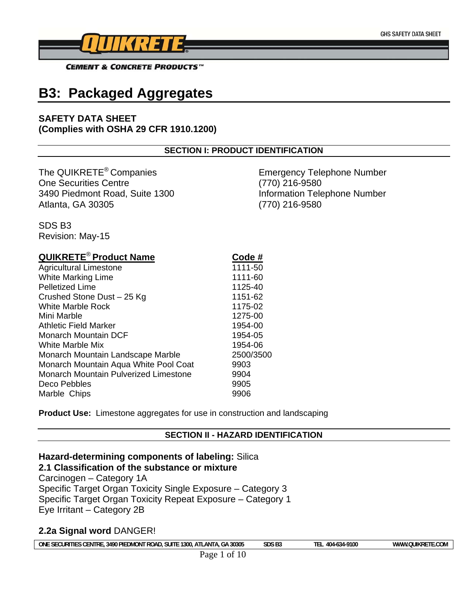

# **B3: Packaged Aggregates**

### **SAFETY DATA SHEET (Complies with OSHA 29 CFR 1910.1200)**

#### **SECTION I: PRODUCT IDENTIFICATION**

The QUIKRETE<sup>®</sup> Companies Emergency Telephone Number One Securities Centre (770) 216-9580 3490 Piedmont Road, Suite 1300 Information Telephone Number Atlanta, GA 30305 (770) 216-9580

SDS B3 Revision: May-15

| <b>QUIKRETE<sup>®</sup> Product Name</b> | Code #    |
|------------------------------------------|-----------|
| <b>Agricultural Limestone</b>            | 1111-50   |
| <b>White Marking Lime</b>                | 1111-60   |
| <b>Pelletized Lime</b>                   | 1125-40   |
| Crushed Stone Dust - 25 Kg               | 1151-62   |
| <b>White Marble Rock</b>                 | 1175-02   |
| Mini Marble                              | 1275-00   |
| Athletic Field Marker                    | 1954-00   |
| Monarch Mountain DCF                     | 1954-05   |
| White Marble Mix                         | 1954-06   |
| Monarch Mountain Landscape Marble        | 2500/3500 |
| Monarch Mountain Aqua White Pool Coat    | 9903      |
| Monarch Mountain Pulverized Limestone    | 9904      |
| Deco Pebbles                             | 9905      |
| Marble Chips                             | 9906      |

**Product Use:** Limestone aggregates for use in construction and landscaping

#### **SECTION II - HAZARD IDENTIFICATION**

# **Hazard-determining components of labeling:** Silica

**2.1 Classification of the substance or mixture**  Carcinogen – Category 1A Specific Target Organ Toxicity Single Exposure – Category 3 Specific Target Organ Toxicity Repeat Exposure – Category 1 Eye Irritant – Category 2B

# **2.2a Signal word** DANGER!

ONE SECURITIES CENTRE, 3490 PIEDMONT ROAD, SUITE 1300, ATLANTA, GA 30305 SDS B3 TEL 404-634-9100 WWW.QUIKRETE.COM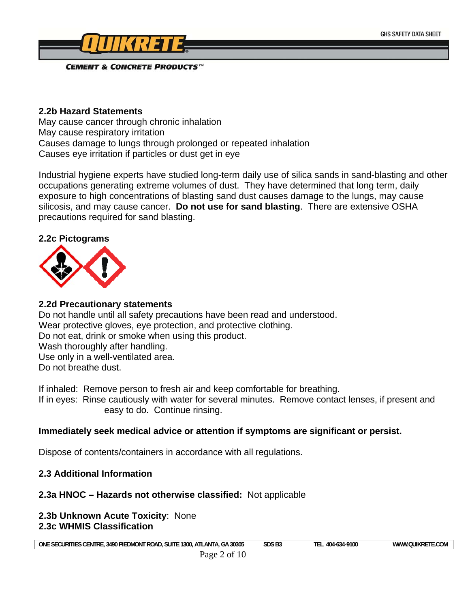

#### **2.2b Hazard Statements**

May cause cancer through chronic inhalation May cause respiratory irritation Causes damage to lungs through prolonged or repeated inhalation Causes eye irritation if particles or dust get in eye

Industrial hygiene experts have studied long-term daily use of silica sands in sand-blasting and other occupations generating extreme volumes of dust. They have determined that long term, daily exposure to high concentrations of blasting sand dust causes damage to the lungs, may cause silicosis, and may cause cancer. **Do not use for sand blasting**. There are extensive OSHA precautions required for sand blasting.

#### **2.2c Pictograms**



# **2.2d Precautionary statements**

Do not handle until all safety precautions have been read and understood. Wear protective gloves, eye protection, and protective clothing. Do not eat, drink or smoke when using this product. Wash thoroughly after handling. Use only in a well-ventilated area. Do not breathe dust.

If inhaled: Remove person to fresh air and keep comfortable for breathing.

If in eyes: Rinse cautiously with water for several minutes. Remove contact lenses, if present and easy to do. Continue rinsing.

# **Immediately seek medical advice or attention if symptoms are significant or persist.**

Dispose of contents/containers in accordance with all regulations.

# **2.3 Additional Information**

# **2.3a HNOC – Hazards not otherwise classified:** Not applicable

#### **2.3b Unknown Acute Toxicity**: None **2.3c WHMIS Classification**

**ONE SECURITIES CENTRE, 3490 PIEDMONT ROAD, SUITE 1300, ATLANTA, GA 30305 SDS B3 TEL 404-634-9100 WWW.QUIKRETE.COM**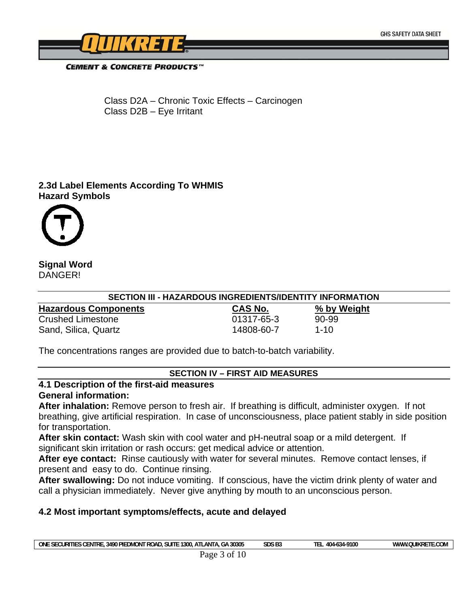

 Class D2A – Chronic Toxic Effects – Carcinogen Class D2B – Eye Irritant

# **2.3d Label Elements According To WHMIS Hazard Symbols**



## **Signal Word**  DANGER!

| SECTION III - HAZARDOUS INGREDIENTS/IDENTITY INFORMATION |                |             |  |  |
|----------------------------------------------------------|----------------|-------------|--|--|
| <b>Hazardous Components</b>                              | <b>CAS No.</b> | % by Weight |  |  |
| <b>Crushed Limestone</b>                                 | 01317-65-3     | 90-99       |  |  |
| Sand, Silica, Quartz                                     | 14808-60-7     | $1 - 10$    |  |  |

The concentrations ranges are provided due to batch-to-batch variability.

#### **SECTION IV – FIRST AID MEASURES**

#### **4.1 Description of the first-aid measures General information:**

**After inhalation:** Remove person to fresh air. If breathing is difficult, administer oxygen. If not breathing, give artificial respiration. In case of unconsciousness, place patient stably in side position for transportation.

**After skin contact:** Wash skin with cool water and pH-neutral soap or a mild detergent. If significant skin irritation or rash occurs: get medical advice or attention.

**After eye contact:** Rinse cautiously with water for several minutes. Remove contact lenses, if present and easy to do. Continue rinsing.

**After swallowing:** Do not induce vomiting. If conscious, have the victim drink plenty of water and call a physician immediately. Never give anything by mouth to an unconscious person.

#### **4.2 Most important symptoms/effects, acute and delayed**

| one<br><b>SUIT</b><br>.-<br><b>SECURITIT</b><br>1300<br>. PIEDMON∩<br>ATI<br>3490<br>חח<br>TRI<br>$\sim$<br>- ROAL<br>CEN.<br>-AN I A.<br>.÷D | chc na<br>30305<br><b>JUJ DJ</b> | -9100<br>404<br>o.se | E.COM<br><b>OUIKRE</b><br>`\/\\/\\\\ |
|-----------------------------------------------------------------------------------------------------------------------------------------------|----------------------------------|----------------------|--------------------------------------|
|                                                                                                                                               |                                  |                      |                                      |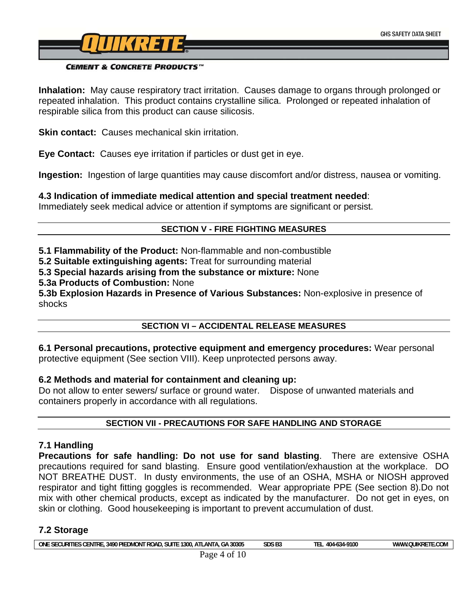

**Inhalation:** May cause respiratory tract irritation. Causes damage to organs through prolonged or repeated inhalation. This product contains crystalline silica. Prolonged or repeated inhalation of respirable silica from this product can cause silicosis.

**Skin contact:** Causes mechanical skin irritation.

**Eye Contact:** Causes eye irritation if particles or dust get in eye.

**Ingestion:** Ingestion of large quantities may cause discomfort and/or distress, nausea or vomiting.

**4.3 Indication of immediate medical attention and special treatment needed**:

Immediately seek medical advice or attention if symptoms are significant or persist.

# **SECTION V - FIRE FIGHTING MEASURES**

**5.1 Flammability of the Product:** Non-flammable and non-combustible

**5.2 Suitable extinguishing agents:** Treat for surrounding material

**5.3 Special hazards arising from the substance or mixture:** None

**5.3a Products of Combustion:** None

**5.3b Explosion Hazards in Presence of Various Substances:** Non-explosive in presence of shocks

# **SECTION VI – ACCIDENTAL RELEASE MEASURES**

**6.1 Personal precautions, protective equipment and emergency procedures:** Wear personal protective equipment (See section VIII). Keep unprotected persons away.

# **6.2 Methods and material for containment and cleaning up:**

Do not allow to enter sewers/ surface or ground water. Dispose of unwanted materials and containers properly in accordance with all regulations.

# **SECTION VII - PRECAUTIONS FOR SAFE HANDLING AND STORAGE**

# **7.1 Handling**

**Precautions for safe handling: Do not use for sand blasting**. There are extensive OSHA precautions required for sand blasting. Ensure good ventilation/exhaustion at the workplace. DO NOT BREATHE DUST. In dusty environments, the use of an OSHA, MSHA or NIOSH approved respirator and tight fitting goggles is recommended. Wear appropriate PPE (See section 8).Do not mix with other chemical products, except as indicated by the manufacturer. Do not get in eyes, on skin or clothing. Good housekeeping is important to prevent accumulation of dust.

# **7.2 Storage**

| +30305<br>: SECURITIES CENTRE<br>ONE<br>.3490 PIEDMONT ROAD.<br>ANTA.<br>$-1300.$<br><b>SUITE</b><br>$\sim$ $\sim$<br>$\sim$ $\sim$ $\sim$<br>∶ دن .<br>AIL. | SDS <sub>B3</sub> | --<br>-634-9100<br>404.<br>. . | $\sim$ $\sim$ $\sim$<br>11 V T<br>$M$ $M$<br>DЕ<br><b>IL.COM</b><br>.UUINRE |
|--------------------------------------------------------------------------------------------------------------------------------------------------------------|-------------------|--------------------------------|-----------------------------------------------------------------------------|
|                                                                                                                                                              |                   |                                |                                                                             |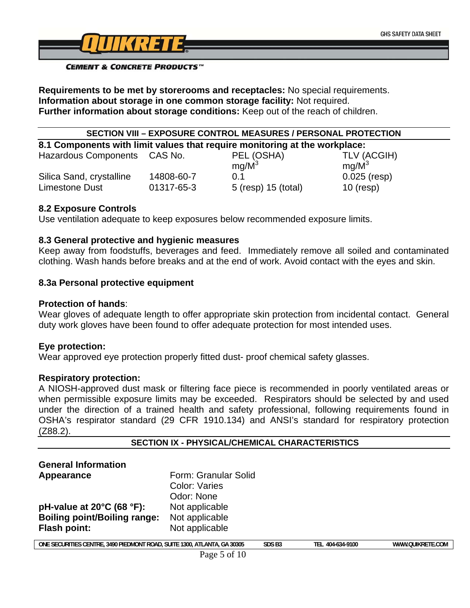

**Requirements to be met by storerooms and receptacles:** No special requirements. **Information about storage in one common storage facility:** Not required. **Further information about storage conditions:** Keep out of the reach of children.

# **SECTION VIII – EXPOSURE CONTROL MEASURES / PERSONAL PROTECTION**

**8.1 Components with limit values that require monitoring at the workplace:** 

| <b>Hazardous Components</b> | CAS No.    | PEL (OSHA)          | TLV (ACGIH)       |
|-----------------------------|------------|---------------------|-------------------|
|                             |            | $mq/M^3$            | ma/M <sup>3</sup> |
| Silica Sand, crystalline    | 14808-60-7 | $()$ 1              | $0.025$ (resp)    |
| Limestone Dust              | 01317-65-3 | 5 (resp) 15 (total) | $10$ (resp)       |

#### **8.2 Exposure Controls**

Use ventilation adequate to keep exposures below recommended exposure limits.

#### **8.3 General protective and hygienic measures**

Keep away from foodstuffs, beverages and feed. Immediately remove all soiled and contaminated clothing. Wash hands before breaks and at the end of work. Avoid contact with the eyes and skin.

#### **8.3a Personal protective equipment**

#### **Protection of hands**:

Wear gloves of adequate length to offer appropriate skin protection from incidental contact. General duty work gloves have been found to offer adequate protection for most intended uses.

#### **Eye protection:**

Wear approved eye protection properly fitted dust- proof chemical safety glasses.

#### **Respiratory protection:**

A NIOSH-approved dust mask or filtering face piece is recommended in poorly ventilated areas or when permissible exposure limits may be exceeded. Respirators should be selected by and used under the direction of a trained health and safety professional, following requirements found in OSHA's respirator standard (29 CFR 1910.134) and ANSI's standard for respiratory protection (Z88.2).

| <b>SECTION IX - PHYSICAL/CHEMICAL CHARACTERISTICS</b>                    |                                                     |                   |                  |                  |
|--------------------------------------------------------------------------|-----------------------------------------------------|-------------------|------------------|------------------|
| <b>General Information</b>                                               |                                                     |                   |                  |                  |
| Appearance                                                               | Form: Granular Solid<br>Color: Varies<br>Odor: None |                   |                  |                  |
| pH-value at $20^{\circ}$ C (68 $^{\circ}$ F):                            | Not applicable                                      |                   |                  |                  |
| <b>Boiling point/Boiling range:</b>                                      | Not applicable                                      |                   |                  |                  |
| <b>Flash point:</b>                                                      | Not applicable                                      |                   |                  |                  |
| ONE SECURITIES CENTRE, 3490 PIEDMONT ROAD, SUITE 1300, ATLANTA, GA 30305 |                                                     | SDS <sub>B3</sub> | TEL 404-634-9100 | WWW.QUIKRETE.COM |
|                                                                          | $D_{0.025}$ 5 of 10                                 |                   |                  |                  |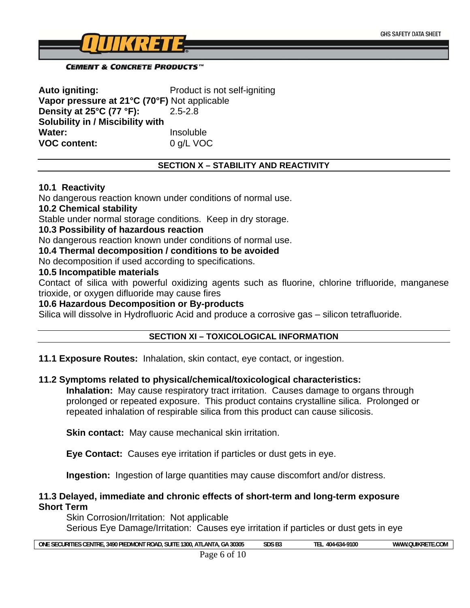

**Auto igniting:** Product is not self-igniting **Vapor pressure at 21°C (70°F)** Not applicable **Density at 25°C (77 °F):** 2.5-2.8 **Solubility in / Miscibility with Water:** Insoluble **VOC content:** 0 g/L VOC

#### **SECTION X – STABILITY AND REACTIVITY**

#### **10.1 Reactivity**

No dangerous reaction known under conditions of normal use.

#### **10.2 Chemical stability**

Stable under normal storage conditions. Keep in dry storage.

#### **10.3 Possibility of hazardous reaction**

No dangerous reaction known under conditions of normal use.

**10.4 Thermal decomposition / conditions to be avoided** 

No decomposition if used according to specifications.

## **10.5 Incompatible materials**

Contact of silica with powerful oxidizing agents such as fluorine, chlorine trifluoride, manganese trioxide, or oxygen difluoride may cause fires

#### **10.6 Hazardous Decomposition or By-products**

Silica will dissolve in Hydrofluoric Acid and produce a corrosive gas – silicon tetrafluoride.

#### **SECTION XI – TOXICOLOGICAL INFORMATION**

**11.1 Exposure Routes:** Inhalation, skin contact, eye contact, or ingestion.

#### **11.2 Symptoms related to physical/chemical/toxicological characteristics:**

**Inhalation:** May cause respiratory tract irritation. Causes damage to organs through prolonged or repeated exposure. This product contains crystalline silica. Prolonged or repeated inhalation of respirable silica from this product can cause silicosis.

**Skin contact:** May cause mechanical skin irritation.

**Eye Contact:** Causes eye irritation if particles or dust gets in eye.

**Ingestion:** Ingestion of large quantities may cause discomfort and/or distress.

#### **11.3 Delayed, immediate and chronic effects of short-term and long-term exposure Short Term**

Skin Corrosion/Irritation: Not applicable Serious Eye Damage/Irritation: Causes eye irritation if particles or dust gets in eye

| one<br>30305<br>1300<br>rre<br>3490 F<br>₽⊪<br><b>CURI</b><br>'''<br>ΞN.<br>۹N<br>.<br>.uwu.<br>- | ∍יז הי<br>-<br>JU.<br>נט י | .9100<br>404 | $  -$<br>' IIK.<br>MN.<br>ww |
|---------------------------------------------------------------------------------------------------|----------------------------|--------------|------------------------------|
|                                                                                                   |                            |              |                              |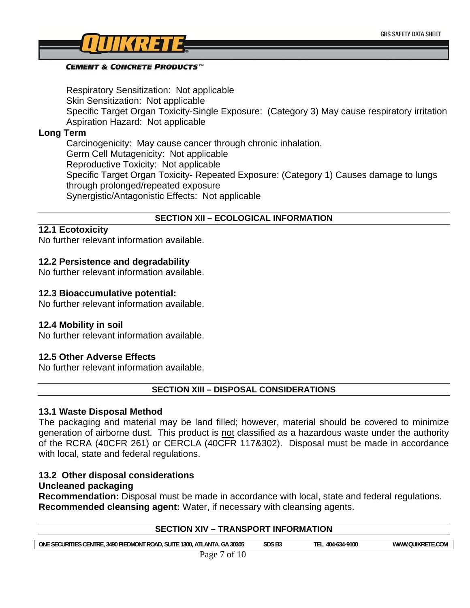

Respiratory Sensitization: Not applicable Skin Sensitization: Not applicable Specific Target Organ Toxicity-Single Exposure: (Category 3) May cause respiratory irritation Aspiration Hazard: Not applicable

#### **Long Term**

Carcinogenicity: May cause cancer through chronic inhalation. Germ Cell Mutagenicity: Not applicable Reproductive Toxicity: Not applicable Specific Target Organ Toxicity- Repeated Exposure: (Category 1) Causes damage to lungs through prolonged/repeated exposure Synergistic/Antagonistic Effects: Not applicable

#### **SECTION XII – ECOLOGICAL INFORMATION**

# **12.1 Ecotoxicity**

No further relevant information available.

#### **12.2 Persistence and degradability**

No further relevant information available.

#### **12.3 Bioaccumulative potential:**

No further relevant information available.

#### **12.4 Mobility in soil**

No further relevant information available.

#### **12.5 Other Adverse Effects**

No further relevant information available.

**SECTION XIII – DISPOSAL CONSIDERATIONS** 

#### **13.1 Waste Disposal Method**

The packaging and material may be land filled; however, material should be covered to minimize generation of airborne dust. This product is not classified as a hazardous waste under the authority of the RCRA (40CFR 261) or CERCLA (40CFR 117&302). Disposal must be made in accordance with local, state and federal regulations.

# **13.2 Other disposal considerations**

# **Uncleaned packaging**

**Recommendation:** Disposal must be made in accordance with local, state and federal regulations. **Recommended cleansing agent:** Water, if necessary with cleansing agents.

| <b>SECTION XIV - TRANSPORT INFORMATION</b>                               |                   |                  |                  |
|--------------------------------------------------------------------------|-------------------|------------------|------------------|
| ONE SECURITIES CENTRE, 3490 PIEDMONT ROAD, SUITE 1300, ATLANTA, GA 30305 | SDS <sub>B3</sub> | TEL 404-634-9100 | WWW.QUIKRETE.COM |
| Page 7 of 10                                                             |                   |                  |                  |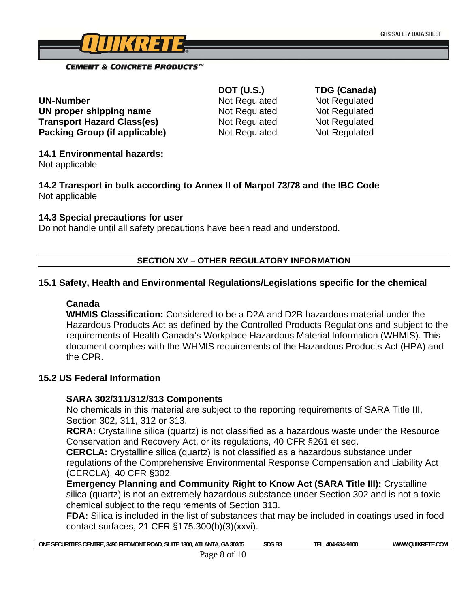

**UN-Number** Not Regulated Not Regulated **UN proper shipping name Mot Regulated Not Regulated** Not Regulated **Transport Hazard Class(es)** Not Regulated Not Regulated **Packing Group (if applicable)** Not Regulated Not Regulated

 **DOT (U.S.) TDG (Canada)** 

### **14.1 Environmental hazards:**

Not applicable

**14.2 Transport in bulk according to Annex II of Marpol 73/78 and the IBC Code**  Not applicable

#### **14.3 Special precautions for user**

Do not handle until all safety precautions have been read and understood.

#### **SECTION XV – OTHER REGULATORY INFORMATION**

#### **15.1 Safety, Health and Environmental Regulations/Legislations specific for the chemical**

## **Canada**

**WHMIS Classification:** Considered to be a D2A and D2B hazardous material under the Hazardous Products Act as defined by the Controlled Products Regulations and subject to the requirements of Health Canada's Workplace Hazardous Material Information (WHMIS). This document complies with the WHMIS requirements of the Hazardous Products Act (HPA) and the CPR.

#### **15.2 US Federal Information**

# **SARA 302/311/312/313 Components**

No chemicals in this material are subject to the reporting requirements of SARA Title III, Section 302, 311, 312 or 313.

**RCRA:** Crystalline silica (quartz) is not classified as a hazardous waste under the Resource Conservation and Recovery Act, or its regulations, 40 CFR §261 et seq.

**CERCLA:** Crystalline silica (quartz) is not classified as a hazardous substance under regulations of the Comprehensive Environmental Response Compensation and Liability Act (CERCLA), 40 CFR §302.

**Emergency Planning and Community Right to Know Act (SARA Title III):** Crystalline silica (quartz) is not an extremely hazardous substance under Section 302 and is not a toxic chemical subject to the requirements of Section 313.

**FDA:** Silica is included in the list of substances that may be included in coatings used in food contact surfaces, 21 CFR §175.300(b)(3)(xxvi).

| 30305<br><b>ONE</b><br>PIF<br>ГIЕ<br>sui<br>3490r<br>$\overline{\phantom{a}}$<br>TRi<br>URI<br>.300<br>DMON .<br>л I<br>11 IV<br>JAI<br>٦F<br>. | cnc<br>P.<br>JU.<br>, | 10/<br>910L<br>14-0.54<br>-- | ww<br>шк<br>:OM |
|-------------------------------------------------------------------------------------------------------------------------------------------------|-----------------------|------------------------------|-----------------|
| .                                                                                                                                               |                       |                              |                 |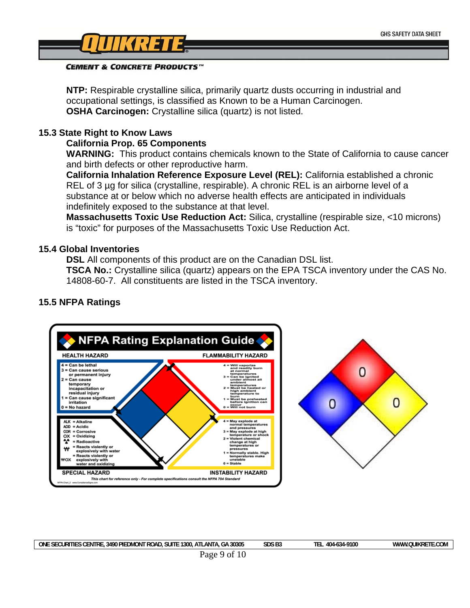

**NTP:** Respirable crystalline silica, primarily quartz dusts occurring in industrial and occupational settings, is classified as Known to be a Human Carcinogen. **OSHA Carcinogen:** Crystalline silica (quartz) is not listed.

#### **15.3 State Right to Know Laws**

#### **California Prop. 65 Components**

**WARNING:** This product contains chemicals known to the State of California to cause cancer and birth defects or other reproductive harm.

**California Inhalation Reference Exposure Level (REL):** California established a chronic REL of 3 µg for silica (crystalline, respirable). A chronic REL is an airborne level of a substance at or below which no adverse health effects are anticipated in individuals indefinitely exposed to the substance at that level.

**Massachusetts Toxic Use Reduction Act:** Silica, crystalline (respirable size, <10 microns) is "toxic" for purposes of the Massachusetts Toxic Use Reduction Act.

#### **15.4 Global Inventories**

**DSL** All components of this product are on the Canadian DSL list.

**TSCA No.:** Crystalline silica (quartz) appears on the EPA TSCA inventory under the CAS No. 14808-60-7. All constituents are listed in the TSCA inventory.



# **15.5 NFPA Ratings**

| 30305<br>" ROAL<br>ONI<br><b>SUIT</b><br>ΊE<br>PIF<br>1300<br>3490<br>ENTRI<br>ΔNT<br>MON'<br>$\mathbf{A}$<br>ъщ.<br>.URI<br>⊔ - | -9100<br>404<br>ינטי | ∴COM<br><b>MWV</b><br>KK. |
|----------------------------------------------------------------------------------------------------------------------------------|----------------------|---------------------------|
| $\cdots$                                                                                                                         |                      |                           |